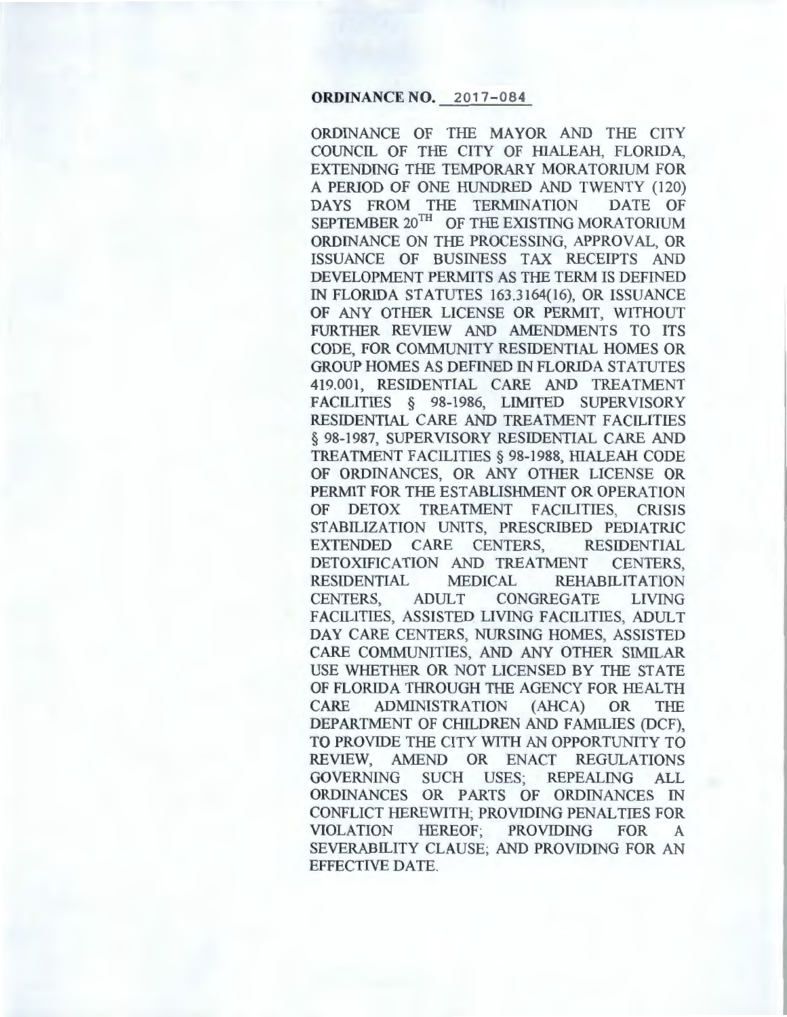#### ORDINANCE NO. 2017-084

ORDINANCE OF THE MAYOR AND THE CITY COUNCIL OF THE CITY OF HIALEAH, FLORIDA, EXTENDING THE TEMPORARY MORATORIUM FOR A PERIOD OF ONE HUNDRED AND TWENTY ( 120) DAYS FROM THE TERMINATION DATE OF SEPTEMBER 20<sup>TH</sup> OF THE EXISTING MORATORIUM ORDINANCE ON THE PROCESSING, APPROVAL, OR ISSUANCE OF BUSINESS TAX RECEIPTS AND DEVELOPMENT PERMITS AS THE TERM IS DEFINED IN FLORIDA STATUTES 163.3164(16), OR ISSUANCE OF ANY OTHER LICENSE OR PERMIT, WITHOUT FURTHER REVIEW AND AMENDMENTS TO ITS CODE, FOR COMMUNITY RESIDENTIAL HOMES OR GROUP HOMES AS DEFINED IN FLORIDA STATUTES 419.001, RESIDENTIAL CARE AND TREATMENT FACILITIES § 98-1986, LIMITED SUPERVISORY RESIDENTIAL CARE AND TREATMENT FACILITIES § 98-1987, SUPERVISORY RESIDENTIAL CARE AND TREATMENT FACILITIES§ 98-1988, HIALEAH CODE OF ORDINANCES, OR ANY OTHER LICENSE OR PERMIT FOR THE ESTABLISHMENT OR OPERATION OF DETOX TREATMENT FACILITIES, CRISIS STABILIZATION UNITS, PRESCRIBED PEDIATRIC EXTENDED CARE CENTERS, RESIDENTIAL DETOXIFICATION AND TREATMENT CENTERS, RESIDENTIAL MEDICAL REHABILITATION CENTERS, ADULT CONGREGATE LIVING FACILITIES, ASSISTED LIVING FACILITIES, ADULT DAY CARE CENTERS, NURSING HOMES, ASSISTED CARE COMMUNITIES, AND ANY OTHER SIMILAR USE WHETHER OR NOT LICENSED BY THE STATE OF FLORIDA THROUGH THE AGENCY FOR HEALTH CARE ADMINISTRATION (AHCA) OR THE DEPARTMENT OF CHILDREN AND FAMILIES (DCF), TO PROVIDE THE CITY WITH AN OPPORTUNITY TO REVIEW, AMEND OR ENACT REGULATIONS GOVERNING SUCH USES; REPEALING ALL ORDINANCES OR PARTS OF ORDINANCES IN CONFLICT HEREWITH; PROVIDING PENAL TIES FOR VIOLATION HEREOF; PROVIDING FOR A SEVERABILITY CLAUSE; AND PROVIDING FOR AN EFFECTIVE DATE.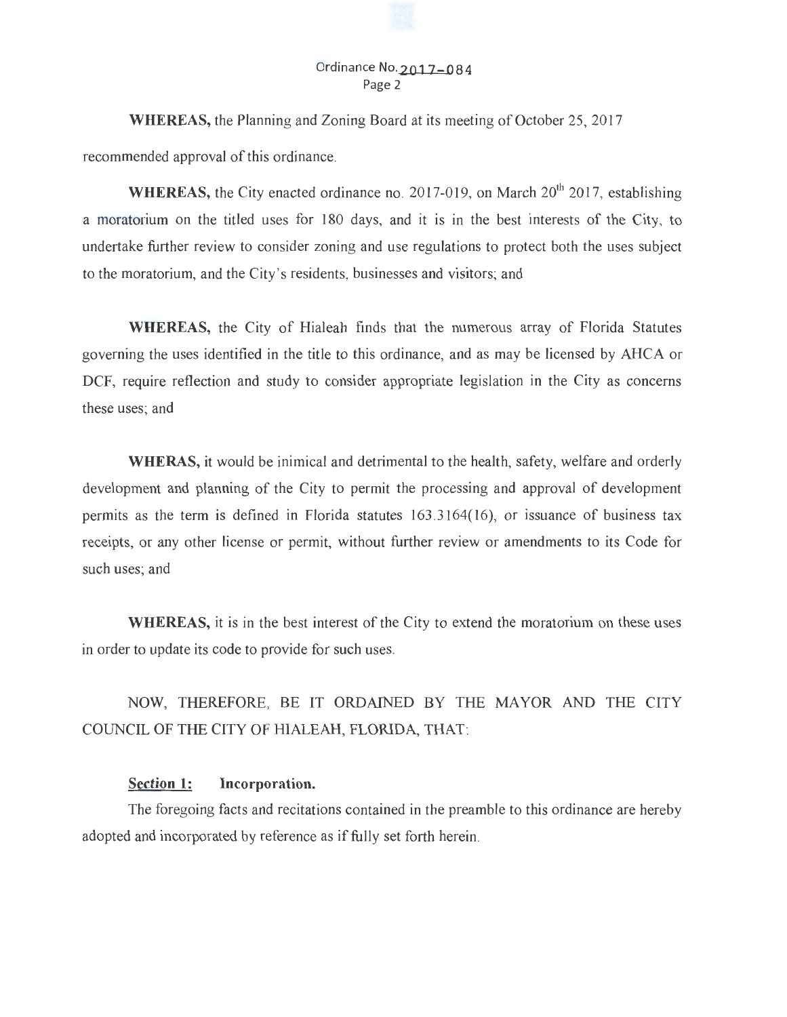### Ordinance **No.2Q17-084**  Page 2

**WHEREAS,** the Planning and Zoning Board at its meeting of October 25, 2017 recommended approval of this ordinance.

**WHEREAS, the City enacted ordinance no. 2017-019, on March 20<sup>th</sup> 2017, establishing** a moratorium on the titled uses for 180 days, and it is in the best interests of the City, to undertake further review to consider zoning and use regulations to protect both the uses subject to the moratorium, and the City's residents, businesses and visitors; and

**WHEREAS,** the City of Hialeah finds that the numerous array of Florida Statutes governing the uses identified in the title to this ordinance, and as may be licensed by AHCA or DCF, require reflection and study to consider appropriate legislation in the City as concerns these uses; and

**WHERAS,** it would be inimical and detrimental to the health, safety, welfare and orderly development and planning of the City to permit the processing and approval of development permits as the term is defined in Florida statutes 163 .3 164(16), or issuance of business tax receipts, or any other license or permit, without further review or amendments to its Code for such uses; and

**WHEREAS,** it is in the best interest of the City to extend the moratorium on these uses in order to update its code to provide for such uses.

NOW, THEREFORE, BE IT ORDAINED BY THE MAYOR AND THE CITY COUNCIL OF THE CITY OF HIALEAH, FLORIDA, THAT:

## **Section 1: Incorporation.**

The foregoing facts and recitations contained in the preamble to this ordinance are hereby adopted and incorporated by reference as if fully set forth herein.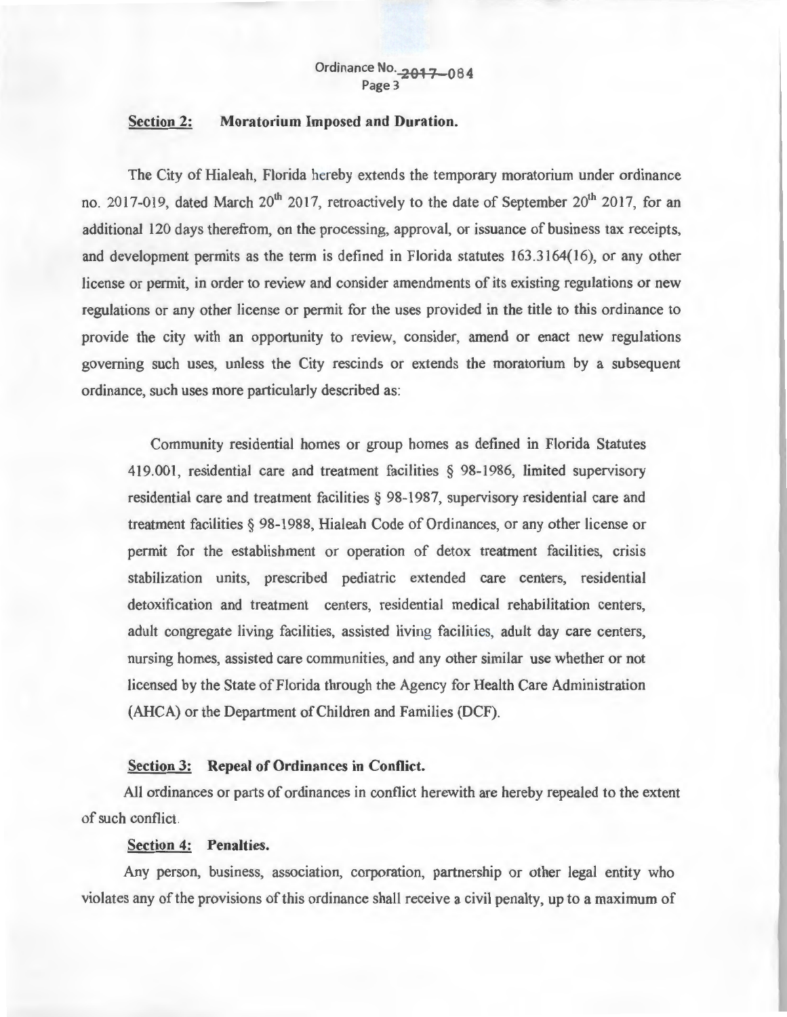# **Section 2: Moratorium Imposed and Duration.**

The City of Hialeah, Florida hereby extends the temporary moratorium under ordinance no. 2017-019, dated March 20<sup>th</sup> 2017, retroactively to the date of September 20<sup>th</sup> 2017, for an additional 120 days therefrom, on the processing, approval, or issuance of business tax receipts, and development permits as the term is defined in Florida statutes 163 .3164(16), or any other license or permit, in order to review and consider amendments of its existing regulations or new regulations or any other license or permit for the uses provided in the title to this ordinance to provide the city with an opportunity to review, consider, amend or enact new regulations governing such uses, unless the City rescinds or extends the moratorium by a subsequent ordinance, such uses more particularly described as:

Community residential homes or group homes as defined in Florida Statutes 419.001, residential care and treatment facilities § 98-1986, limited supervisory residential care and treatment facilities § 98-1987, supervisory residential care and treatment facilities § 98-1988, Hialeah Code of Ordinances, or any other license or permit for the establishment or operation of detox treatment facilities, crisis stabilization units, prescribed pediatric extended care centers, residential detoxification and treatment centers, residential medical rehabilitation centers, adult congregate living facilities, assisted living facilities, adult day care centers, nursing homes, assisted care communities, and any other similar use whether or not licensed by the State of Florida through the Agency for Health Care Administration (AHCA) or the Department of Children and Families (DCF).

#### **Section 3: Repeal of Ordinances in Conflict.**

All ordinances or parts of ordinances in conflict herewith are hereby repealed to the extent of such conflict.

#### **Section 4: Penalties.**

Any person, business, association, corporation, partnership or other legal entity who violates any of the provisions of this ordinance shall receive a civil penalty, up to a maximum of